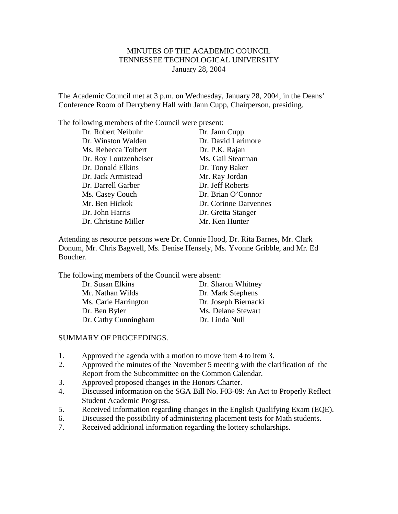# MINUTES OF THE ACADEMIC COUNCIL TENNESSEE TECHNOLOGICAL UNIVERSITY January 28, 2004

The Academic Council met at 3 p.m. on Wednesday, January 28, 2004, in the Deans' Conference Room of Derryberry Hall with Jann Cupp, Chairperson, presiding.

The following members of the Council were present:

| Dr. Robert Neibuhr    | Dr. Jann Cupp         |
|-----------------------|-----------------------|
| Dr. Winston Walden    | Dr. David Larimore    |
| Ms. Rebecca Tolbert   | Dr. P.K. Rajan        |
| Dr. Roy Loutzenheiser | Ms. Gail Stearman     |
| Dr. Donald Elkins     | Dr. Tony Baker        |
| Dr. Jack Armistead    | Mr. Ray Jordan        |
| Dr. Darrell Garber    | Dr. Jeff Roberts      |
| Ms. Casey Couch       | Dr. Brian O'Connor    |
| Mr. Ben Hickok        | Dr. Corinne Darvennes |
| Dr. John Harris       | Dr. Gretta Stanger    |
| Dr. Christine Miller  | Mr. Ken Hunter        |

Attending as resource persons were Dr. Connie Hood, Dr. Rita Barnes, Mr. Clark Donum, Mr. Chris Bagwell, Ms. Denise Hensely, Ms. Yvonne Gribble, and Mr. Ed Boucher.

The following members of the Council were absent:

| Dr. Susan Elkins     | Dr. Sharon Whitney   |
|----------------------|----------------------|
| Mr. Nathan Wilds     | Dr. Mark Stephens    |
| Ms. Carie Harrington | Dr. Joseph Biernacki |
| Dr. Ben Byler        | Ms. Delane Stewart   |
| Dr. Cathy Cunningham | Dr. Linda Null       |

## SUMMARY OF PROCEEDINGS.

- 1. Approved the agenda with a motion to move item 4 to item 3.
- 2. Approved the minutes of the November 5 meeting with the clarification of the Report from the Subcommittee on the Common Calendar.
- 3. Approved proposed changes in the Honors Charter.
- 4. Discussed information on the SGA Bill No. F03-09: An Act to Properly Reflect Student Academic Progress.
- 5. Received information regarding changes in the English Qualifying Exam (EQE).
- 6. Discussed the possibility of administering placement tests for Math students.
- 7. Received additional information regarding the lottery scholarships.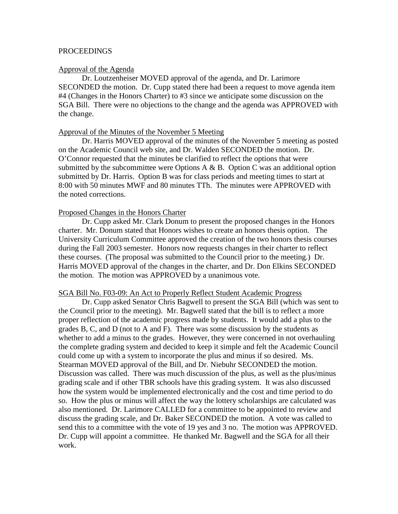## **PROCEEDINGS**

#### Approval of the Agenda

Dr. Loutzenheiser MOVED approval of the agenda, and Dr. Larimore SECONDED the motion. Dr. Cupp stated there had been a request to move agenda item #4 (Changes in the Honors Charter) to #3 since we anticipate some discussion on the SGA Bill. There were no objections to the change and the agenda was APPROVED with the change.

## Approval of the Minutes of the November 5 Meeting

Dr. Harris MOVED approval of the minutes of the November 5 meeting as posted on the Academic Council web site, and Dr. Walden SECONDED the motion. Dr. O'Connor requested that the minutes be clarified to reflect the options that were submitted by the subcommittee were Options A  $\&$  B. Option C was an additional option submitted by Dr. Harris. Option B was for class periods and meeting times to start at 8:00 with 50 minutes MWF and 80 minutes TTh. The minutes were APPROVED with the noted corrections.

### Proposed Changes in the Honors Charter

Dr. Cupp asked Mr. Clark Donum to present the proposed changes in the Honors charter. Mr. Donum stated that Honors wishes to create an honors thesis option. The University Curriculum Committee approved the creation of the two honors thesis courses during the Fall 2003 semester. Honors now requests changes in their charter to reflect these courses. (The proposal was submitted to the Council prior to the meeting.) Dr. Harris MOVED approval of the changes in the charter, and Dr. Don Elkins SECONDED the motion. The motion was APPROVED by a unanimous vote.

### SGA Bill No. F03-09: An Act to Properly Reflect Student Academic Progress

Dr. Cupp asked Senator Chris Bagwell to present the SGA Bill (which was sent to the Council prior to the meeting). Mr. Bagwell stated that the bill is to reflect a more proper reflection of the academic progress made by students. It would add a plus to the grades B, C, and D (not to A and F). There was some discussion by the students as whether to add a minus to the grades. However, they were concerned in not overhauling the complete grading system and decided to keep it simple and felt the Academic Council could come up with a system to incorporate the plus and minus if so desired. Ms. Stearman MOVED approval of the Bill, and Dr. Niebuhr SECONDED the motion. Discussion was called. There was much discussion of the plus, as well as the plus/minus grading scale and if other TBR schools have this grading system. It was also discussed how the system would be implemented electronically and the cost and time period to do so. How the plus or minus will affect the way the lottery scholarships are calculated was also mentioned. Dr. Larimore CALLED for a committee to be appointed to review and discuss the grading scale, and Dr. Baker SECONDED the motion. A vote was called to send this to a committee with the vote of 19 yes and 3 no. The motion was APPROVED. Dr. Cupp will appoint a committee. He thanked Mr. Bagwell and the SGA for all their work.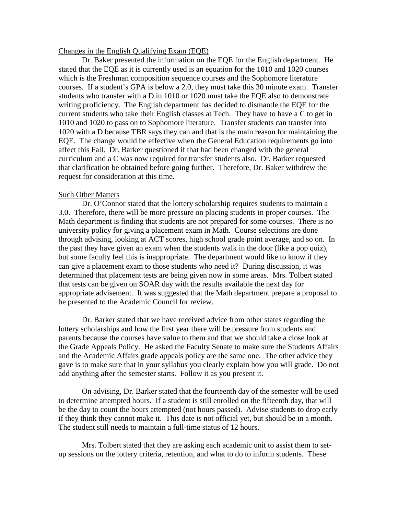### Changes in the English Qualifying Exam (EQE)

Dr. Baker presented the information on the EQE for the English department. He stated that the EQE as it is currently used is an equation for the 1010 and 1020 courses which is the Freshman composition sequence courses and the Sophomore literature courses. If a student's GPA is below a 2.0, they must take this 30 minute exam. Transfer students who transfer with a D in 1010 or 1020 must take the EQE also to demonstrate writing proficiency. The English department has decided to dismantle the EQE for the current students who take their English classes at Tech. They have to have a C to get in 1010 and 1020 to pass on to Sophomore literature. Transfer students can transfer into 1020 with a D because TBR says they can and that is the main reason for maintaining the EQE. The change would be effective when the General Education requirements go into affect this Fall. Dr. Barker questioned if that had been changed with the general curriculum and a C was now required for transfer students also. Dr. Barker requested that clarification be obtained before going further. Therefore, Dr. Baker withdrew the request for consideration at this time.

#### Such Other Matters

Dr. O'Connor stated that the lottery scholarship requires students to maintain a 3.0. Therefore, there will be more pressure on placing students in proper courses. The Math department is finding that students are not prepared for some courses. There is no university policy for giving a placement exam in Math. Course selections are done through advising, looking at ACT scores, high school grade point average, and so on. In the past they have given an exam when the students walk in the door (like a pop quiz), but some faculty feel this is inappropriate. The department would like to know if they can give a placement exam to those students who need it? During discussion, it was determined that placement tests are being given now in some areas. Mrs. Tolbert stated that tests can be given on SOAR day with the results available the next day for appropriate advisement. It was suggested that the Math department prepare a proposal to be presented to the Academic Council for review.

Dr. Barker stated that we have received advice from other states regarding the lottery scholarships and how the first year there will be pressure from students and parents because the courses have value to them and that we should take a close look at the Grade Appeals Policy. He asked the Faculty Senate to make sure the Students Affairs and the Academic Affairs grade appeals policy are the same one. The other advice they gave is to make sure that in your syllabus you clearly explain how you will grade. Do not add anything after the semester starts. Follow it as you present it.

On advising, Dr. Barker stated that the fourteenth day of the semester will be used to determine attempted hours. If a student is still enrolled on the fifteenth day, that will be the day to count the hours attempted (not hours passed). Advise students to drop early if they think they cannot make it. This date is not official yet, but should be in a month. The student still needs to maintain a full-time status of 12 hours.

Mrs. Tolbert stated that they are asking each academic unit to assist them to setup sessions on the lottery criteria, retention, and what to do to inform students. These